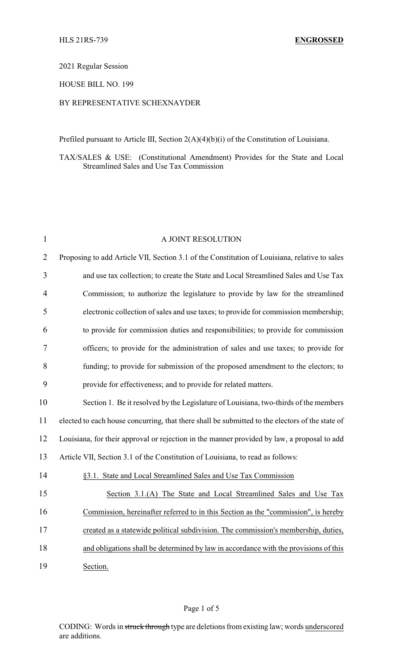## 2021 Regular Session

#### HOUSE BILL NO. 199

## BY REPRESENTATIVE SCHEXNAYDER

Prefiled pursuant to Article III, Section 2(A)(4)(b)(i) of the Constitution of Louisiana.

TAX/SALES & USE: (Constitutional Amendment) Provides for the State and Local Streamlined Sales and Use Tax Commission

| $\mathbf{1}$   | A JOINT RESOLUTION                                                                              |
|----------------|-------------------------------------------------------------------------------------------------|
| $\overline{2}$ | Proposing to add Article VII, Section 3.1 of the Constitution of Louisiana, relative to sales   |
| 3              | and use tax collection; to create the State and Local Streamlined Sales and Use Tax             |
| 4              | Commission; to authorize the legislature to provide by law for the streamlined                  |
| 5              | electronic collection of sales and use taxes; to provide for commission membership;             |
| 6              | to provide for commission duties and responsibilities; to provide for commission                |
| 7              | officers; to provide for the administration of sales and use taxes; to provide for              |
| 8              | funding; to provide for submission of the proposed amendment to the electors; to                |
| 9              | provide for effectiveness; and to provide for related matters.                                  |
| 10             | Section 1. Be it resolved by the Legislature of Louisiana, two-thirds of the members            |
| 11             | elected to each house concurring, that there shall be submitted to the electors of the state of |
| 12             | Louisiana, for their approval or rejection in the manner provided by law, a proposal to add     |
| 13             | Article VII, Section 3.1 of the Constitution of Louisiana, to read as follows:                  |
| 14             | §3.1. State and Local Streamlined Sales and Use Tax Commission                                  |
| 15             | Section 3.1.(A) The State and Local Streamlined Sales and Use Tax                               |
| 16             | Commission, hereinafter referred to in this Section as the "commission", is hereby              |
| 17             | created as a statewide political subdivision. The commission's membership, duties,              |
| 18             | and obligations shall be determined by law in accordance with the provisions of this            |
| 19             | Section.                                                                                        |

CODING: Words in struck through type are deletions from existing law; words underscored are additions.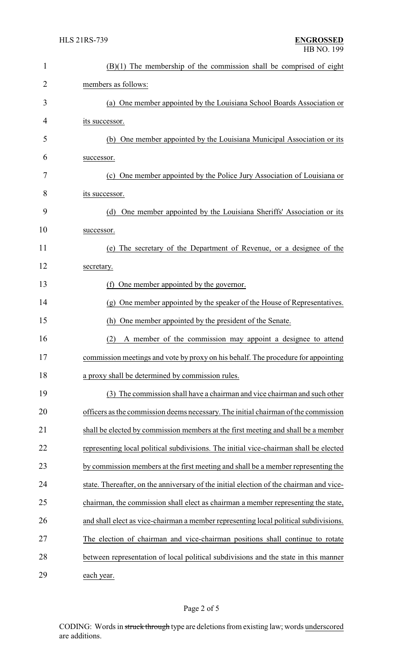| $\mathbf{1}$   | $(B)(1)$ The membership of the commission shall be comprised of eight                   |  |  |
|----------------|-----------------------------------------------------------------------------------------|--|--|
| $\overline{2}$ | members as follows:                                                                     |  |  |
| 3              | (a) One member appointed by the Louisiana School Boards Association or                  |  |  |
| 4              | its successor.                                                                          |  |  |
| 5              | (b) One member appointed by the Louisiana Municipal Association or its                  |  |  |
| 6              | successor.                                                                              |  |  |
| 7              | (c) One member appointed by the Police Jury Association of Louisiana or                 |  |  |
| 8              | its successor.                                                                          |  |  |
| 9              | One member appointed by the Louisiana Sheriffs' Association or its<br>(d)               |  |  |
| 10             | successor.                                                                              |  |  |
| 11             | (e) The secretary of the Department of Revenue, or a designee of the                    |  |  |
| 12             | secretary.                                                                              |  |  |
| 13             | (f) One member appointed by the governor.                                               |  |  |
| 14             | (g) One member appointed by the speaker of the House of Representatives.                |  |  |
| 15             | (h) One member appointed by the president of the Senate.                                |  |  |
| 16             | A member of the commission may appoint a designee to attend<br>(2)                      |  |  |
| 17             | commission meetings and vote by proxy on his behalf. The procedure for appointing       |  |  |
| 18             | a proxy shall be determined by commission rules.                                        |  |  |
| 19             | (3) The commission shall have a chairman and vice chairman and such other               |  |  |
| 20             | officers as the commission deems necessary. The initial chairman of the commission      |  |  |
| 21             | shall be elected by commission members at the first meeting and shall be a member       |  |  |
| 22             | representing local political subdivisions. The initial vice-chairman shall be elected   |  |  |
| 23             | by commission members at the first meeting and shall be a member representing the       |  |  |
| 24             | state. Thereafter, on the anniversary of the initial election of the chairman and vice- |  |  |
| 25             | chairman, the commission shall elect as chairman a member representing the state,       |  |  |
| 26             | and shall elect as vice-chairman a member representing local political subdivisions.    |  |  |
| 27             | The election of chairman and vice-chairman positions shall continue to rotate           |  |  |
| 28             | between representation of local political subdivisions and the state in this manner     |  |  |
| 29             | each year.                                                                              |  |  |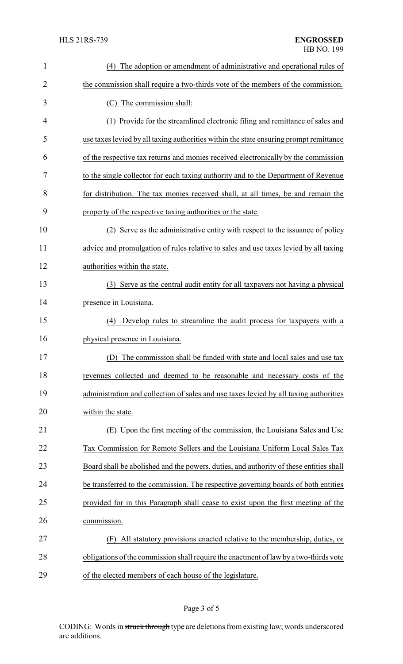| 1  | The adoption or amendment of administrative and operational rules of<br>(4)            |
|----|----------------------------------------------------------------------------------------|
| 2  | the commission shall require a two-thirds vote of the members of the commission.       |
| 3  | (C) The commission shall:                                                              |
| 4  | (1) Provide for the streamlined electronic filing and remittance of sales and          |
| 5  | use taxes levied by all taxing authorities within the state ensuring prompt remittance |
| 6  | of the respective tax returns and monies received electronically by the commission     |
| 7  | to the single collector for each taxing authority and to the Department of Revenue     |
| 8  | for distribution. The tax monies received shall, at all times, be and remain the       |
| 9  | property of the respective taxing authorities or the state.                            |
| 10 | Serve as the administrative entity with respect to the issuance of policy<br>(2)       |
| 11 | advice and promulgation of rules relative to sales and use taxes levied by all taxing  |
| 12 | authorities within the state.                                                          |
| 13 | (3) Serve as the central audit entity for all taxpayers not having a physical          |
| 14 | presence in Louisiana.                                                                 |
| 15 | Develop rules to streamline the audit process for taxpayers with a<br>(4)              |
| 16 | physical presence in Louisiana.                                                        |
| 17 | (D) The commission shall be funded with state and local sales and use tax              |
| 18 | revenues collected and deemed to be reasonable and necessary costs of the              |
| 19 | administration and collection of sales and use taxes levied by all taxing authorities  |
| 20 | within the state.                                                                      |
| 21 | (E) Upon the first meeting of the commission, the Louisiana Sales and Use              |
| 22 | Tax Commission for Remote Sellers and the Louisiana Uniform Local Sales Tax            |
| 23 | Board shall be abolished and the powers, duties, and authority of these entities shall |
| 24 | be transferred to the commission. The respective governing boards of both entities     |
| 25 | provided for in this Paragraph shall cease to exist upon the first meeting of the      |
| 26 | commission.                                                                            |
| 27 | All statutory provisions enacted relative to the membership, duties, or<br>(F)         |
| 28 | obligations of the commission shall require the enactment of law by a two-thirds vote  |
| 29 | of the elected members of each house of the legislature.                               |

# Page 3 of 5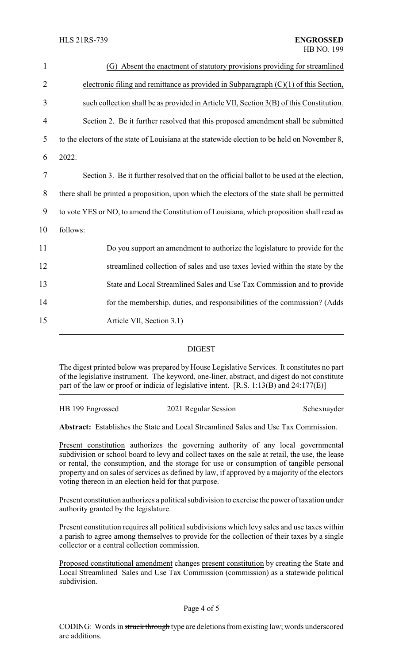| $\mathbf{1}$   | (G) Absent the enactment of statutory provisions providing for streamlined                    |
|----------------|-----------------------------------------------------------------------------------------------|
| $\overline{2}$ | electronic filing and remittance as provided in Subparagraph $(C)(1)$ of this Section,        |
| 3              | such collection shall be as provided in Article VII, Section 3(B) of this Constitution.       |
| 4              | Section 2. Be it further resolved that this proposed amendment shall be submitted             |
| 5              | to the electors of the state of Louisiana at the statewide election to be held on November 8, |
| 6              | 2022.                                                                                         |
| 7              | Section 3. Be it further resolved that on the official ballot to be used at the election,     |
| 8              | there shall be printed a proposition, upon which the electors of the state shall be permitted |
| 9              | to vote YES or NO, to amend the Constitution of Louisiana, which proposition shall read as    |
| 10             | follows:                                                                                      |
| 11             | Do you support an amendment to authorize the legislature to provide for the                   |
| 12             | streamlined collection of sales and use taxes levied within the state by the                  |
| 13             | State and Local Streamlined Sales and Use Tax Commission and to provide                       |
| 14             | for the membership, duties, and responsibilities of the commission? (Adds                     |
| 15             | Article VII, Section 3.1)                                                                     |
|                |                                                                                               |

#### DIGEST

The digest printed below was prepared by House Legislative Services. It constitutes no part of the legislative instrument. The keyword, one-liner, abstract, and digest do not constitute part of the law or proof or indicia of legislative intent. [R.S. 1:13(B) and 24:177(E)]

| HB 199 Engrossed | 2021 Regular Session | Schexnayder |
|------------------|----------------------|-------------|
|                  |                      |             |

**Abstract:** Establishes the State and Local Streamlined Sales and Use Tax Commission.

Present constitution authorizes the governing authority of any local governmental subdivision or school board to levy and collect taxes on the sale at retail, the use, the lease or rental, the consumption, and the storage for use or consumption of tangible personal property and on sales of services as defined by law, if approved by a majority of the electors voting thereon in an election held for that purpose.

Present constitution authorizes a political subdivision to exercise the power of taxation under authority granted by the legislature.

Present constitution requires all political subdivisions which levy sales and use taxes within a parish to agree among themselves to provide for the collection of their taxes by a single collector or a central collection commission.

Proposed constitutional amendment changes present constitution by creating the State and Local Streamlined Sales and Use Tax Commission (commission) as a statewide political subdivision.